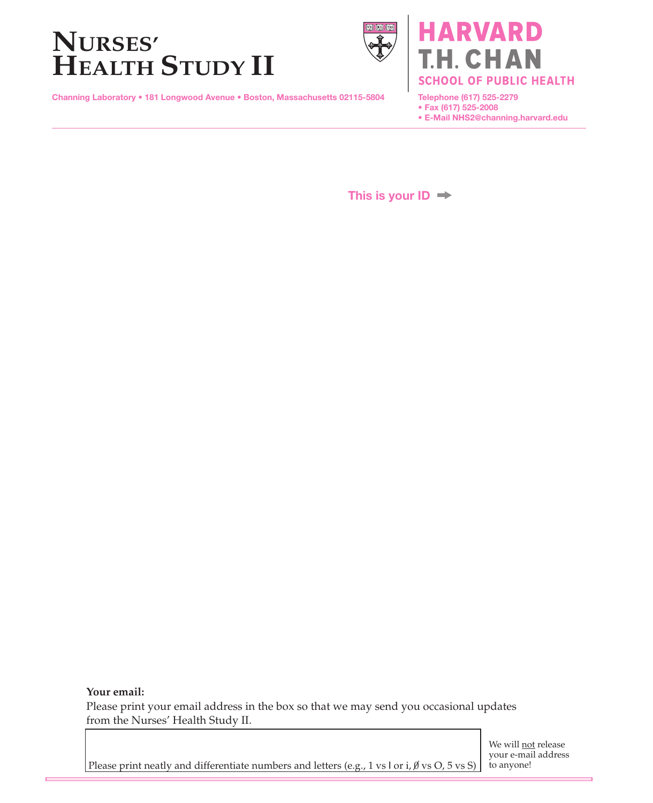# **NURSES' HEALTH STUDY II**



Channing Laboratory • 181 Longwood Avenue • Boston, Massachusetts 02115-5804

**ARVARD** CHAN **SCHOOL OF PUBLIC HEALTH** 

Telephone (617) 525-2279 • Fax (617) 525-2008

• E-Mail NHS2@channing.harvard.edu

This is your  $ID \rightarrow$ 

**Your email:**

Please print your email address in the box so that we may send you occasional updates from the Nurses' Health Study II.

Please print neatly and differentiate numbers and letters (e.g., 1 vs l or i,  $\emptyset$  vs O, 5 vs S)

We will not release your e-mail address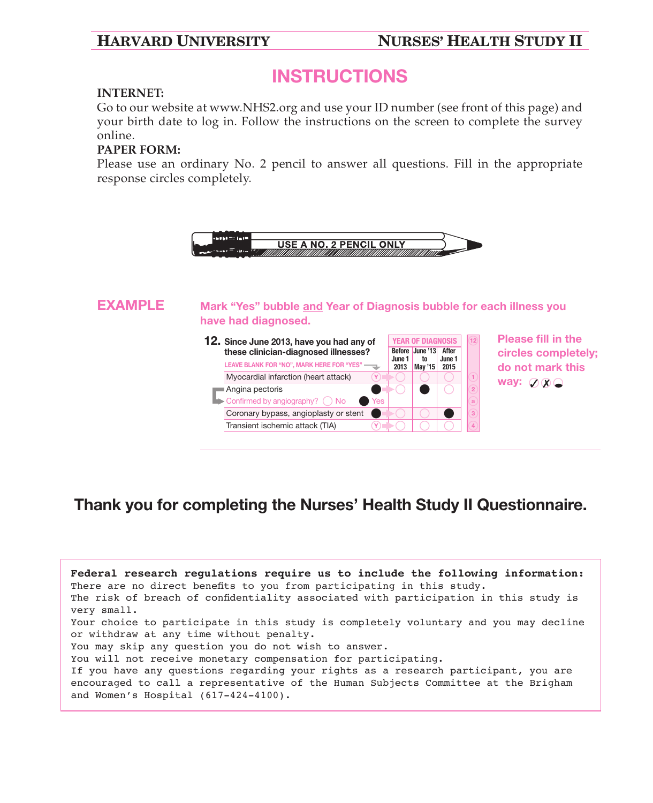## **HARVARD UNIVERSITY NURSES' HEALTH STUDY II**

## INSTRUCTIONS

### **INTERNET:**

Go to our website at www.NHS2.org and use your ID number (see front of this page) and your birth date to log in. Follow the instructions on the screen to complete the survey online.

### **PAPER FORM:**

Please use an ordinary No. 2 pencil to answer all questions. Fill in the appropriate response circles completely.



## Thank you for completing the Nurses' Health Study II Questionnaire.

| Federal research regulations require us to include the following information:<br>There are no direct benefits to you from participating in this study. |
|--------------------------------------------------------------------------------------------------------------------------------------------------------|
| The risk of breach of confidentiality associated with participation in this study is<br>very small.                                                    |
| Your choice to participate in this study is completely voluntary and you may decline                                                                   |
| or withdraw at any time without penalty.                                                                                                               |
| You may skip any question you do not wish to answer.                                                                                                   |
| You will not receive monetary compensation for participating.                                                                                          |
| If you have any questions regarding your rights as a research participant, you are                                                                     |
| encouraged to call a representative of the Human Subjects Committee at the Brigham<br>and Women's Hospital (617-424-4100).                             |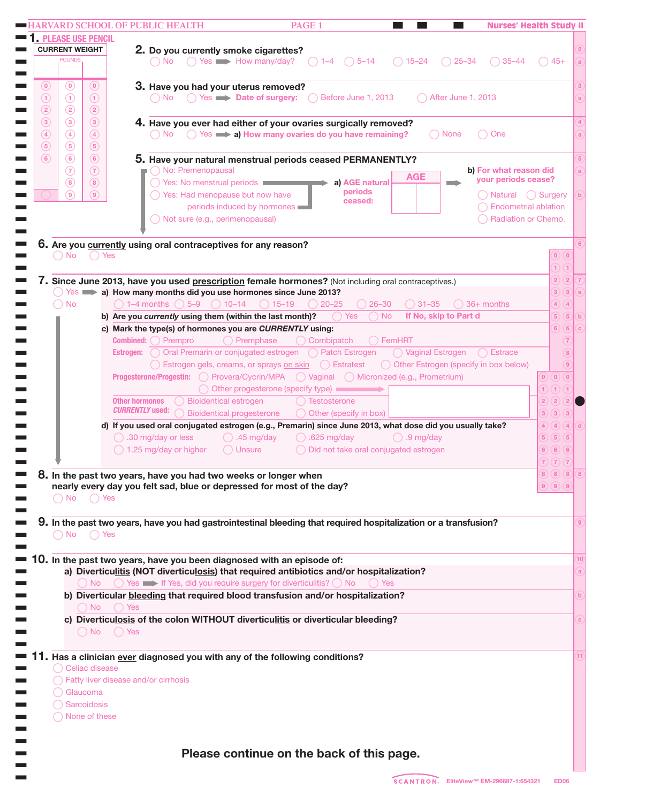| <b>PLEASE USE PENCIL</b>       |                                                                                                                                                |             |
|--------------------------------|------------------------------------------------------------------------------------------------------------------------------------------------|-------------|
| <b>CURRENT WEIGHT</b>          | 2. Do you currently smoke cigarettes?                                                                                                          |             |
| <b>POUNDS</b>                  | $\bigcap$ Yes $\longrightarrow$ How many/day?<br>$\bigcirc$ 5-14<br>$\bigcirc$ 15-24<br>$\bigcap$ 1-4<br>$25 - 34$<br>$\bigcirc$ 35–44<br>No.  | $45+$       |
|                                |                                                                                                                                                |             |
| $\left( 0\right)$<br>$\odot$   | $\left( 0\right)$<br>3. Have you had your uterus removed?                                                                                      |             |
| $\odot$<br>$\odot$             | No  ( ) Yes <b>Date of surgery:</b><br>$\bigcap$ Before June 1, 2013<br>After June 1, 2013<br>$\circ$                                          |             |
| $\circled{2}$<br>$\circled{2}$ | $\circled{2}$                                                                                                                                  |             |
| $\circled{3}$<br>$\circled{3}$ | $\circled{3}$<br>4. Have you ever had either of your ovaries surgically removed?                                                               |             |
| $\circled{4}$<br>$\circled{4}$ | $\bigcap$ None<br>$\left( 4\right)$<br>No $\bigcirc$ Yes $\implies$ a) How many ovaries do you have remaining?<br>One                          |             |
| $\circled{5}$<br>$\circled{5}$ | (5)                                                                                                                                            |             |
| $\circ$<br>(6)                 | (6)<br>5. Have your natural menstrual periods ceased PERMANENTLY?                                                                              |             |
| $\circled{7}$                  | $\circled{7}$<br>No: Premenopausal<br>b) For what reason did<br>AGE                                                                            |             |
| (8)                            | your periods cease?<br>○ Yes: No menstrual periods<br>(8)<br>a) AGE natural                                                                    |             |
| $\circ$                        | periods<br>◯ Yes: Had menopause but now have<br>(9)<br>ceased:                                                                                 |             |
|                                | periods induced by hormones<br><b>Endometrial ablation</b>                                                                                     |             |
|                                | ◯ Not sure (e.g., perimenopausal)<br>Radiation or Chemo.                                                                                       |             |
|                                |                                                                                                                                                |             |
|                                | 6. Are you currently using oral contraceptives for any reason?                                                                                 |             |
| $()$ No                        | () Yes                                                                                                                                         | $0)$ $(0)$  |
|                                |                                                                                                                                                | 1) (1)      |
|                                | 7. Since June 2013, have you used prescription female hormones? (Not including oral contraceptives.)                                           | 2)(2)       |
|                                | $Yes$ a) How many months did you use hormones since June 2013?                                                                                 | 3)(3)       |
| <b>No</b>                      | $\bigcirc$ 31-35<br>$\bigcap$ 1–4 months $\bigcap$ 5–9 $\bigcap$ 10–14<br>$() 15 - 19$<br>$() 20 - 25$<br>$26 - 30$<br>$\binom{36+}{2}$ months | 4)(4)       |
|                                | $\bigcap$ No<br>If No, skip to Part d<br>◯ Yes<br>b) Are you currently using them (within the last month)?                                     | 5)(5)       |
|                                | c) Mark the type(s) of hormones you are CURRENTLY using:                                                                                       | 6)(6)       |
|                                | <b>Combined:</b> $\bigcap$ Prempro<br>$\bigcap$ Combipatch<br>() Premphase<br>○ FemHRT                                                         |             |
|                                | Estrogen: O Oral Premarin or conjugated estrogen O Patch Estrogen<br>◯ Vaginal Estrogen ( Estrace                                              |             |
|                                | ◯ Estrogen gels, creams, or sprays on skin ◯ Estratest<br>O Other Estrogen (specify in box below)                                              |             |
|                                | Progesterone/Progestin: O Provera/Cycrin/MPA O Vaginal O Micronized (e.g., Prometrium)<br>$(0)$ $(0)$ $(0)$                                    |             |
|                                | ◯ Other progesterone (specify type)<br>1) (1) (1)                                                                                              |             |
|                                | <b>Other hormones</b><br><b>Bioidentical estrogen</b><br>Testosterone<br>2)                                                                    | $\boxed{2}$ |
|                                | <i><b>CURRENTLY used:</b></i><br><b>Bioidentical progesterone</b><br>◯ Other (specify in box)<br>3)                                            | 3)(3)       |
|                                | d) If you used oral conjugated estrogen (e.g., Premarin) since June 2013, what dose did you usually take?<br>4)                                | 4           |
|                                | $\bigcap$ .30 mg/day or less<br>$\bigcirc$ .625 mg/day<br>$\bigcirc$ .9 mg/day<br>$\bigcirc$ .45 mg/day<br>5)                                  | 5)(5)       |
|                                | ◯ 1.25 mg/day or higher<br>$\bigcap$ Unsure<br>◯ Did not take oral conjugated estrogen<br>(6)(6)(6)                                            |             |
|                                | 7)(7)(7)                                                                                                                                       |             |
|                                | 8(8)<br>8. In the past two years, have you had two weeks or longer when                                                                        |             |
|                                | nearly every day you felt sad, blue or depressed for most of the day?<br>9) (9) (9)                                                            |             |
| $()$ No                        | ( ) Yes                                                                                                                                        |             |
|                                |                                                                                                                                                |             |
|                                | 9. In the past two years, have you had gastrointestinal bleeding that required hospitalization or a transfusion?                               |             |
| $\bigcap$ No $\bigcap$ Yes     |                                                                                                                                                |             |
|                                | 10. In the past two years, have you been diagnosed with an episode of:                                                                         |             |
|                                | a) Diverticulitis (NOT diverticulosis) that required antibiotics and/or hospitalization?                                                       |             |
|                                | $\bigcap$ No $\bigcap$ Yes $\implies$ If Yes, did you require surgery for diverticulitis? $\bigcap$ No<br>( ) Yes                              |             |
|                                | b) Diverticular bleeding that required blood transfusion and/or hospitalization?                                                               |             |
|                                | $\bigcap$ No $\bigcap$ Yes                                                                                                                     |             |
|                                | c) Diverticulosis of the colon WITHOUT diverticulitis or diverticular bleeding?                                                                |             |
|                                | $\bigcap$ No $\bigcap$ Yes                                                                                                                     |             |
|                                |                                                                                                                                                |             |
|                                | <b>11.</b> Has a clinician <u>ever</u> diagnosed you with any of the following conditions?                                                     |             |
|                                | Celiac disease                                                                                                                                 |             |
|                                | ◯ Fatty liver disease and/or cirrhosis                                                                                                         |             |
| Glaucoma                       |                                                                                                                                                |             |
|                                |                                                                                                                                                |             |
| Sarcoidosis                    |                                                                                                                                                |             |
| ◯ None of these                |                                                                                                                                                |             |
|                                |                                                                                                                                                |             |
|                                |                                                                                                                                                |             |
|                                | Please continue on the back of this page.                                                                                                      |             |

the cont